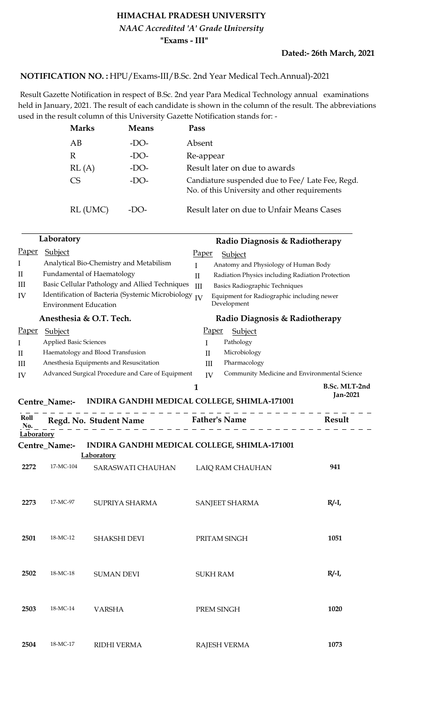## **HIMACHAL PRADESH UNIVERSITY "Exams - III"** *NAAC Accredited 'A' Grade University*

## <code>NOTIFICATION</code> NO. : HPU/Exams-III/B.Sc. 2nd Year Medical Tech.Annual)-2021

 Result Gazette Notification in respect of B.Sc. 2nd year Para Medical Technology annual examinations held in January, 2021. The result of each candidate is shown in the column of the result. The abbreviations used in the result column of this University Gazette Notification stands for: -

| <b>Marks</b> | <b>Means</b> | Pass                                                                                              |
|--------------|--------------|---------------------------------------------------------------------------------------------------|
| AВ           | $-DO-$       | Absent                                                                                            |
| R            | $-DO-$       | Re-appear                                                                                         |
| RL(A)        | $-DO-$       | Result later on due to awards                                                                     |
| CS           | $-DO-$       | Candiature suspended due to Fee/ Late Fee, Regd.<br>No. of this University and other requirements |
| RL (UMC)     | -DO-         | Result later on due to Unfair Means Cases                                                         |

|                            | Laboratory                    |                                                   | Radio Diagnosis & Radiotherapy                                   |                                  |
|----------------------------|-------------------------------|---------------------------------------------------|------------------------------------------------------------------|----------------------------------|
| Paper                      | Subject                       |                                                   | <u>Paper</u><br>Subject                                          |                                  |
| I                          |                               | Analytical Bio-Chemistry and Metabilism           | $\mathbf{I}$<br>Anatomy and Physiology of Human Body             |                                  |
| $\mathop{\rm II}\nolimits$ |                               | Fundamental of Haematology                        | Radiation Physics including Radiation Protection<br>$\mathbf{I}$ |                                  |
| III                        |                               | Basic Cellular Pathology and Allied Techniques    | Basics Radiographic Techniques<br>$\mathop{\rm III}$             |                                  |
| IV                         | <b>Environment Education</b>  | Identification of Bacteria (Systemic Microbiology | Equipment for Radiographic including newer<br>IV<br>Development  |                                  |
|                            |                               | Anesthesia & O.T. Tech.                           | Radio Diagnosis & Radiotherapy                                   |                                  |
| <b>Paper</b>               | <b>Subject</b>                |                                                   | <b>Paper</b><br>Subject                                          |                                  |
| I                          | <b>Applied Basic Sciences</b> |                                                   | Pathology<br>I                                                   |                                  |
| П                          |                               | Haematology and Blood Transfusion                 | Microbiology<br>П                                                |                                  |
| Ш                          |                               | Anesthesia Equipments and Resuscitation           | Pharmacology<br>III                                              |                                  |
| IV                         |                               | Advanced Surgical Procedure and Care of Equipment | Community Medicine and Environmental Science<br>IV               |                                  |
|                            | Centre_Name:-                 |                                                   | $\mathbf{1}$<br>INDIRA GANDHI MEDICAL COLLEGE, SHIMLA-171001     | B.Sc. MLT-2nd<br><b>Jan-2021</b> |
| Roll<br>No.                |                               | Regd. No. Student Name Father's Name              |                                                                  | Result                           |
| Laboratory                 |                               |                                                   |                                                                  |                                  |
|                            | Centre_Name:-                 |                                                   | INDIRA GANDHI MEDICAL COLLEGE, SHIMLA-171001                     |                                  |
|                            |                               | <b>Laboratory</b>                                 |                                                                  |                                  |
| 2272                       | 17-MC-104                     | SARASWATI CHAUHAN                                 | LAIQ RAM CHAUHAN                                                 | 941                              |
| 2273                       | 17-MC-97                      | SUPRIYA SHARMA                                    | SANJEET SHARMA                                                   | $R/I$ ,                          |
|                            |                               |                                                   |                                                                  |                                  |
| 2501                       | 18-MC-12                      | <b>SHAKSHI DEVI</b>                               | PRITAM SINGH                                                     | 1051                             |
| 2502                       | 18-MC-18                      | <b>SUMAN DEVI</b>                                 | <b>SUKH RAM</b>                                                  | $R/-I$                           |
| 2503                       | 18-MC-14                      | <b>VARSHA</b>                                     | PREM SINGH                                                       | 1020                             |
| 2504                       | 18-MC-17                      | <b>RIDHI VERMA</b>                                | <b>RAJESH VERMA</b>                                              | 1073                             |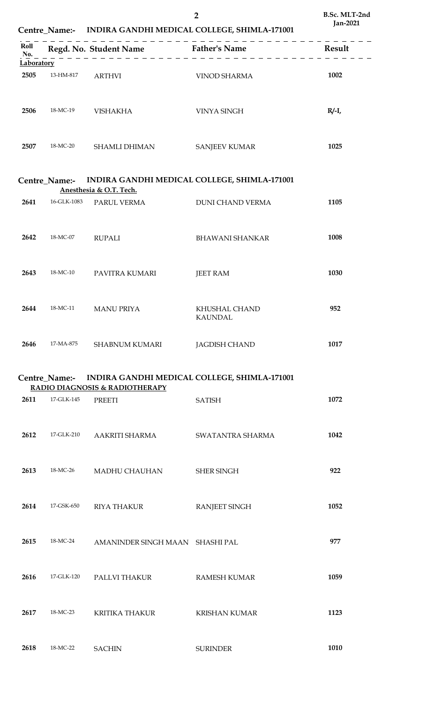|                           |               | Centre_Name:- INDIRA GANDHI MEDICAL COLLEGE, SHIMLA-171001              |                                                            | Jan-2021 |  |
|---------------------------|---------------|-------------------------------------------------------------------------|------------------------------------------------------------|----------|--|
| Roll<br>No.<br>Laboratory |               |                                                                         | Regd. No. Student Name Father's Name                       | Result   |  |
| 2505                      | 13-HM-817     | <b>ARTHVI</b>                                                           | <b>VINOD SHARMA</b>                                        | 1002     |  |
|                           |               |                                                                         |                                                            |          |  |
| 2506                      | 18-MC-19      | <b>VISHAKHA</b>                                                         | <b>VINYA SINGH</b>                                         | $R/I$ ,  |  |
|                           |               |                                                                         |                                                            |          |  |
| 2507                      | 18-MC-20      | <b>SHAMLI DHIMAN</b>                                                    | <b>SANJEEV KUMAR</b>                                       | 1025     |  |
|                           |               |                                                                         |                                                            |          |  |
|                           | Centre Name:- | INDIRA GANDHI MEDICAL COLLEGE, SHIMLA-171001<br>Anesthesia & O.T. Tech. |                                                            |          |  |
| 2641                      | 16-GLK-1083   | PARUL VERMA                                                             | <b>DUNI CHAND VERMA</b>                                    | 1105     |  |
|                           |               |                                                                         |                                                            |          |  |
| 2642                      | 18-MC-07      | <b>RUPALI</b>                                                           | <b>BHAWANI SHANKAR</b>                                     | 1008     |  |
|                           |               |                                                                         |                                                            |          |  |
| 2643                      | 18-MC-10      | PAVITRA KUMARI                                                          | <b>JEET RAM</b>                                            | 1030     |  |
|                           |               |                                                                         |                                                            |          |  |
| 2644                      | 18-MC-11      | <b>MANU PRIYA</b>                                                       | KHUSHAL CHAND<br><b>KAUNDAL</b>                            | 952      |  |
|                           |               |                                                                         |                                                            |          |  |
| 2646                      | 17-MA-875     | <b>SHABNUM KUMARI</b>                                                   | <b>JAGDISH CHAND</b>                                       | 1017     |  |
|                           |               |                                                                         |                                                            |          |  |
|                           |               | RADIO DIAGNOSIS & RADIOTHERAPY                                          | Centre_Name:- INDIRA GANDHI MEDICAL COLLEGE, SHIMLA-171001 |          |  |
| 2611                      | 17-GLK-145    | <b>PREETI</b>                                                           | <b>SATISH</b>                                              | 1072     |  |
|                           |               |                                                                         |                                                            |          |  |
| 2612                      | 17-GLK-210    | AAKRITI SHARMA                                                          | SWATANTRA SHARMA                                           | 1042     |  |
|                           |               |                                                                         |                                                            |          |  |
| 2613                      | 18-MC-26      | MADHU CHAUHAN                                                           | <b>SHER SINGH</b>                                          | 922      |  |
|                           |               |                                                                         |                                                            |          |  |
| 2614                      | 17-GSK-650    | <b>RIYA THAKUR</b>                                                      | <b>RANJEET SINGH</b>                                       | 1052     |  |
|                           |               |                                                                         |                                                            |          |  |
| 2615                      | 18-MC-24      | AMANINDER SINGH MAAN SHASHI PAL                                         |                                                            | 977      |  |
|                           |               |                                                                         |                                                            |          |  |
| 2616                      | 17-GLK-120    | PALLVI THAKUR                                                           | <b>RAMESH KUMAR</b>                                        | 1059     |  |
|                           |               |                                                                         |                                                            |          |  |
| 2617                      | 18-MC-23      | <b>KRITIKA THAKUR</b>                                                   | <b>KRISHAN KUMAR</b>                                       | 1123     |  |
|                           |               |                                                                         |                                                            |          |  |
| 2618                      | 18-MC-22      | SACHIN                                                                  | <b>SURINDER</b>                                            | 1010     |  |

**2**

**B.Sc. MLT-2nd**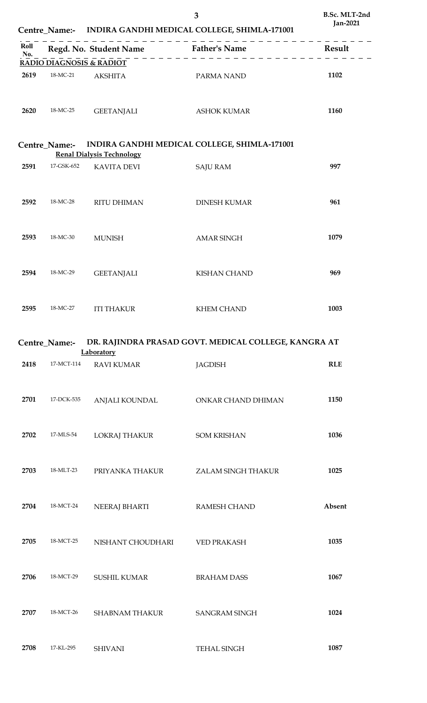|             |               |                                      | 3<br>Centre_Name:- INDIRA GANDHI MEDICAL COLLEGE, SHIMLA-171001 | B.Sc. MLT-2nd<br><b>Jan-2021</b> |
|-------------|---------------|--------------------------------------|-----------------------------------------------------------------|----------------------------------|
| Roll<br>No. |               | Regd. No. Student Name Father's Name |                                                                 | <b>Result</b>                    |
|             |               | <b>RADIO DIAGNOSIS &amp; RADIOT</b>  |                                                                 |                                  |
| 2619        | 18-MC-21      | <b>AKSHITA</b>                       | PARMA NAND                                                      | 1102                             |
| 2620        | 18-MC-25      | <b>GEETANJALI</b>                    | <b>ASHOK KUMAR</b>                                              | 1160                             |
|             | Centre_Name:- | <b>Renal Dialysis Technology</b>     | INDIRA GANDHI MEDICAL COLLEGE, SHIMLA-171001                    |                                  |
| 2591        | 17-GSK-652    | <b>KAVITA DEVI</b>                   | <b>SAJU RAM</b>                                                 | 997                              |
| 2592        | 18-MC-28      | <b>RITU DHIMAN</b>                   | <b>DINESH KUMAR</b>                                             | 961                              |
| 2593        | 18-MC-30      | <b>MUNISH</b>                        | <b>AMAR SINGH</b>                                               | 1079                             |
| 2594        | 18-MC-29      | <b>GEETANJALI</b>                    | <b>KISHAN CHAND</b>                                             | 969                              |
| 2595        | 18-MC-27      | <b>ITI THAKUR</b>                    | <b>KHEM CHAND</b>                                               | 1003                             |
|             | Centre_Name:- | Laboratory                           | DR. RAJINDRA PRASAD GOVT. MEDICAL COLLEGE, KANGRA AT            |                                  |
| 2418        | 17-MCT-114    | <b>RAVI KUMAR</b>                    | <b>JAGDISH</b>                                                  | <b>RLE</b>                       |
| 2701        | 17-DCK-535    | ANJALI KOUNDAL                       | ONKAR CHAND DHIMAN                                              | 1150                             |
| 2702        | 17-MLS-54     | LOKRAJ THAKUR                        | <b>SOM KRISHAN</b>                                              | 1036                             |
| 2703        | 18-MLT-23     | PRIYANKA THAKUR                      | ZALAM SINGH THAKUR                                              | 1025                             |
| 2704        | 18-MCT-24     | <b>NEERAJ BHARTI</b>                 | RAMESH CHAND                                                    | Absent                           |
| 2705        | 18-MCT-25     | NISHANT CHOUDHARI                    | VED PRAKASH                                                     | 1035                             |

18-MCT-29 SUSHIL KUMAR BRAHAM DASS **1067**

18-MCT-26 SHABNAM THAKUR SANGRAM SINGH **1024**

17-KL-295 SHIVANI TEHAL SINGH **1087**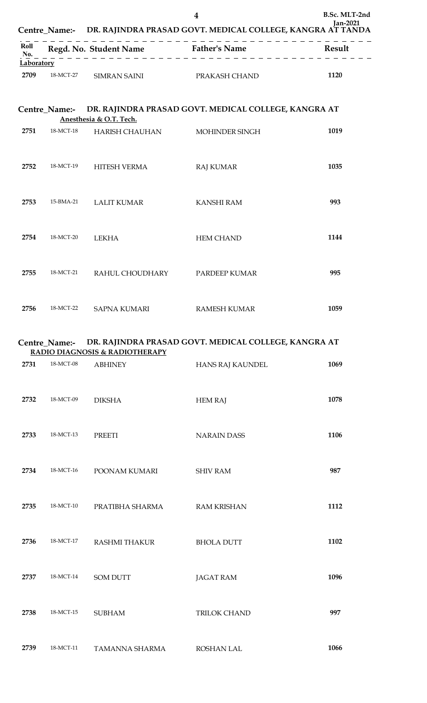|             |               | 4<br>Centre_Name:- DR. RAJINDRA PRASAD GOVT. MEDICAL COLLEGE, KANGRA AT TANDA |                                                      | B.Sc. MLT-2nd<br><b>Jan-2021</b> |
|-------------|---------------|-------------------------------------------------------------------------------|------------------------------------------------------|----------------------------------|
| Roll<br>No. |               |                                                                               | Regd. No. Student Name Father's Name                 | Result                           |
| Laboratory  |               |                                                                               |                                                      |                                  |
| 2709        | 18-MCT-27     | SIMRAN SAINI                                                                  | PRAKASH CHAND                                        | 1120                             |
|             | Centre_Name:- |                                                                               | DR. RAJINDRA PRASAD GOVT. MEDICAL COLLEGE, KANGRA AT |                                  |
|             |               | Anesthesia & O.T. Tech.                                                       |                                                      |                                  |
| 2751        | 18-MCT-18     | HARISH CHAUHAN                                                                | <b>MOHINDER SINGH</b>                                | 1019                             |
| 2752        | 18-MCT-19     | <b>HITESH VERMA</b>                                                           | <b>RAJ KUMAR</b>                                     | 1035                             |
|             |               |                                                                               |                                                      |                                  |
| 2753        | 15-BMA-21     | <b>LALIT KUMAR</b>                                                            | <b>KANSHI RAM</b>                                    | 993                              |
|             |               |                                                                               |                                                      |                                  |
| 2754        | 18-MCT-20     | <b>LEKHA</b>                                                                  | <b>HEM CHAND</b>                                     | 1144                             |
| 2755        | 18-MCT-21     |                                                                               |                                                      | 995                              |
|             |               | RAHUL CHOUDHARY PARDEEP KUMAR                                                 |                                                      |                                  |
| 2756        | 18-MCT-22     | <b>SAPNA KUMARI</b>                                                           | <b>RAMESH KUMAR</b>                                  | 1059                             |

## **Centre\_Name:- DR. RAJINDRA PRASAD GOVT. MEDICAL COLLEGE, KANGRA AT RADIO DIAGNOSIS & RADIOTHERAPY**

| 2731 | 18-MCT-08 | <b>ABHINEY</b>       | HANS RAJ KAUNDEL   | 1069 |
|------|-----------|----------------------|--------------------|------|
| 2732 | 18-MCT-09 | <b>DIKSHA</b>        | <b>HEM RAJ</b>     | 1078 |
| 2733 | 18-MCT-13 | <b>PREETI</b>        | <b>NARAIN DASS</b> | 1106 |
| 2734 | 18-MCT-16 | POONAM KUMARI        | <b>SHIV RAM</b>    | 987  |
| 2735 | 18-MCT-10 | PRATIBHA SHARMA      | <b>RAM KRISHAN</b> | 1112 |
| 2736 | 18-MCT-17 | <b>RASHMI THAKUR</b> | <b>BHOLA DUTT</b>  | 1102 |
| 2737 | 18-MCT-14 | <b>SOM DUTT</b>      | <b>JAGAT RAM</b>   | 1096 |
| 2738 | 18-MCT-15 | <b>SUBHAM</b>        | TRILOK CHAND       | 997  |
| 2739 | 18-MCT-11 | TAMANNA SHARMA       | <b>ROSHAN LAL</b>  | 1066 |